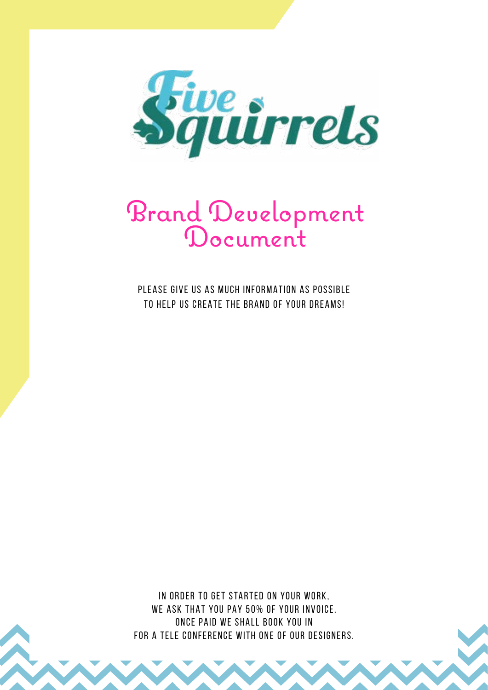

# Brand Development Document

PLEASE GIVE US AS MUCH INFORMATION AS POSSIBLE TO HELP US CREATE THE BRAND OF YOUR DREAMS!

IN ORDER TO GET STARTED ON YOUR WORK, WE ASK THAT YOU PAY 50% OF YOUR INVOICE. ONCE PAID WE SHALL BOOK YOU IN FOR A TELE CONFERENCE WITH ONE OF OUR DESIGNERS.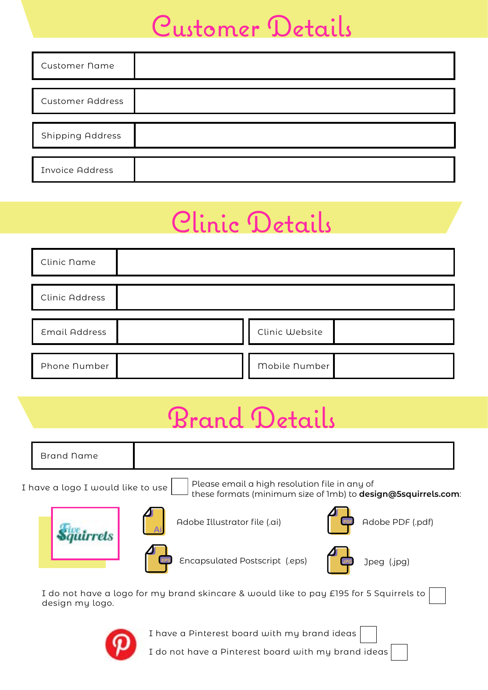#### Customer Details

| <b>Customer Name</b>    |  |
|-------------------------|--|
|                         |  |
| <b>Customer Address</b> |  |
|                         |  |
| <b>Shipping Address</b> |  |
|                         |  |
| <b>Invoice Address</b>  |  |

# Clinic Details

| Clinic Name           |                |  |
|-----------------------|----------------|--|
| <b>Clinic Address</b> |                |  |
| <b>Email Address</b>  | Clinic Website |  |
| Phone Number          | Mobile Number  |  |

# Brand Details

| <b>Brand Name</b>                 |                                                                                                               |                  |
|-----------------------------------|---------------------------------------------------------------------------------------------------------------|------------------|
| I have a logo I would like to use | Please email a high resolution file in any of<br>these formats (minimum size of 1mb) to design@5squirrels.com |                  |
|                                   | Adobe Illustrator file (.ai)                                                                                  | Adobe PDF (.pdf) |
|                                   | Encapsulated Postscript (.eps)                                                                                | Jpeg (.jpg)      |
|                                   | I do not have a logo for my brand skincare & would like to pay £195 for 5 Squirrels to                        |                  |

**Contract** design my logo.



I have a Pinterest board with my brand ideas

I do not have a Pinterest board with my brand ideas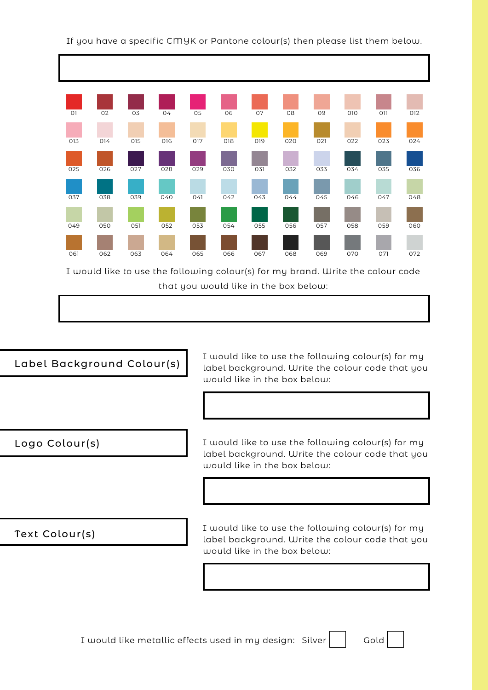

I would like to use the following colour(s) for my brand. Write the colour code that you would like in the box below:



I would like metallic effects used in my design:  $Silver$   $|$  Gold

If you have a specific CMYK or Pantone colour(s) then please list them below.